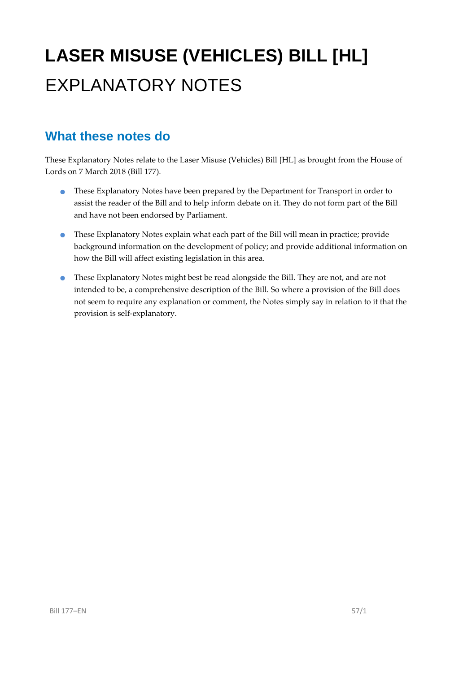# **LASER MISUSE (VEHICLES) BILL [HL]** EXPLANATORY NOTES

#### **What these notes do**

These Explanatory Notes relate to the Laser Misuse (Vehicles) Bill [HL] as brought from the House of Lords on 7 March 2018 (Bill 177).

- **•** These Explanatory Notes have been prepared by the Department for Transport in order to assist the reader of the Bill and to help inform debate on it. They do not form part of the Bill and have not been endorsed by Parliament.
- These Explanatory Notes explain what each part of the Bill will mean in practice; provide background information on the development of policy; and provide additional information on how the Bill will affect existing legislation in this area.
- These Explanatory Notes might best be read alongside the Bill. They are not, and are not intended to be, a comprehensive description of the Bill. So where a provision of the Bill does not seem to require any explanation or comment, the Notes simply say in relation to it that the provision is self-explanatory.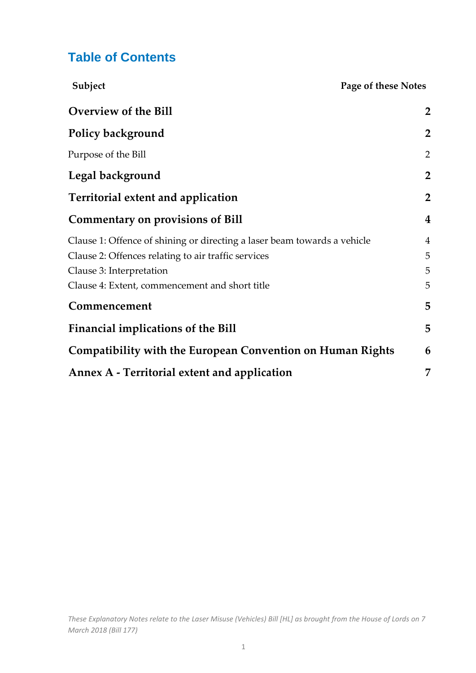#### **Table of Contents**

| Subject<br>Page of these Notes                                                                                                                                                                                |                               |
|---------------------------------------------------------------------------------------------------------------------------------------------------------------------------------------------------------------|-------------------------------|
| Overview of the Bill                                                                                                                                                                                          | $\overline{2}$                |
| <b>Policy background</b>                                                                                                                                                                                      | $\overline{2}$                |
| Purpose of the Bill                                                                                                                                                                                           | $\overline{2}$                |
| Legal background                                                                                                                                                                                              | $\overline{2}$                |
| <b>Territorial extent and application</b>                                                                                                                                                                     | $\overline{2}$                |
| <b>Commentary on provisions of Bill</b>                                                                                                                                                                       | $\overline{\mathbf{4}}$       |
| Clause 1: Offence of shining or directing a laser beam towards a vehicle<br>Clause 2: Offences relating to air traffic services<br>Clause 3: Interpretation<br>Clause 4: Extent, commencement and short title | $\overline{4}$<br>5<br>5<br>5 |
| Commencement                                                                                                                                                                                                  | 5                             |
| Financial implications of the Bill                                                                                                                                                                            | 5                             |
| <b>Compatibility with the European Convention on Human Rights</b>                                                                                                                                             | 6                             |
| Annex A - Territorial extent and application                                                                                                                                                                  | 7                             |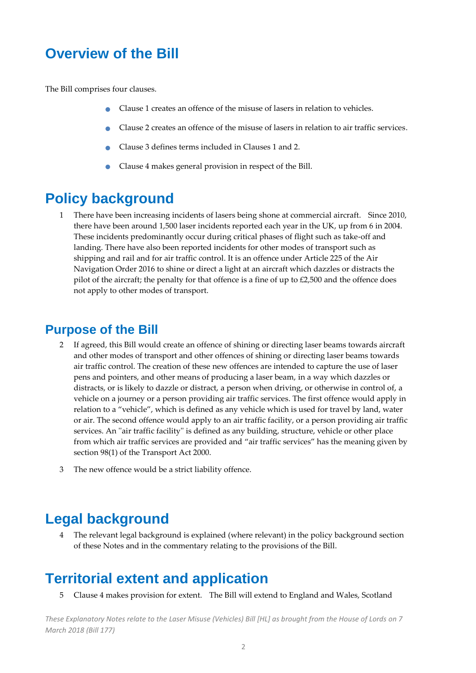## <span id="page-2-0"></span>**Overview of the Bill**

The Bill comprises four clauses.

- Clause 1 creates an offence of the misuse of lasers in relation to vehicles.
- Clause 2 creates an offence of the misuse of lasers in relation to air traffic services.
- Clause 3 defines terms included in Clauses 1 and 2.
- Clause 4 makes general provision in respect of the Bill.

#### <span id="page-2-1"></span>**Policy background**

1 There have been increasing incidents of lasers being shone at commercial aircraft. Since 2010, there have been around 1,500 laser incidents reported each year in the UK, up from 6 in 2004. These incidents predominantly occur during critical phases of flight such as take-off and landing. There have also been reported incidents for other modes of transport such as shipping and rail and for air traffic control. It is an offence under Article 225 of the Air Navigation Order 2016 to shine or direct a light at an aircraft which dazzles or distracts the pilot of the aircraft; the penalty for that offence is a fine of up to £2,500 and the offence does not apply to other modes of transport.

#### <span id="page-2-2"></span>**Purpose of the Bill**

- 2 If agreed, this Bill would create an offence of shining or directing laser beams towards aircraft and other modes of transport and other offences of shining or directing laser beams towards air traffic control. The creation of these new offences are intended to capture the use of laser pens and pointers, and other means of producing a laser beam, in a way which dazzles or distracts, or is likely to dazzle or distract, a person when driving, or otherwise in control of, a vehicle on a journey or a person providing air traffic services. The first offence would apply in relation to a "vehicle", which is defined as any vehicle which is used for travel by land, water or air. The second offence would apply to an air traffic facility, or a person providing air traffic services. An ''air traffic facility'' is defined as any building, structure, vehicle or other place from which air traffic services are provided and "air traffic services" has the meaning given by section 98(1) of the Transport Act 2000.
- 3 The new offence would be a strict liability offence.

## <span id="page-2-3"></span>**Legal background**

4 The relevant legal background is explained (where relevant) in the policy background section of these Notes and in the commentary relating to the provisions of the Bill.

## <span id="page-2-4"></span>**Territorial extent and application**

5 Clause 4 makes provision for extent. The Bill will extend to England and Wales, Scotland

*These Explanatory Notes relate to the Laser Misuse (Vehicles) Bill [HL] as brought from the House of Lords on 7 March 2018 (Bill 177)*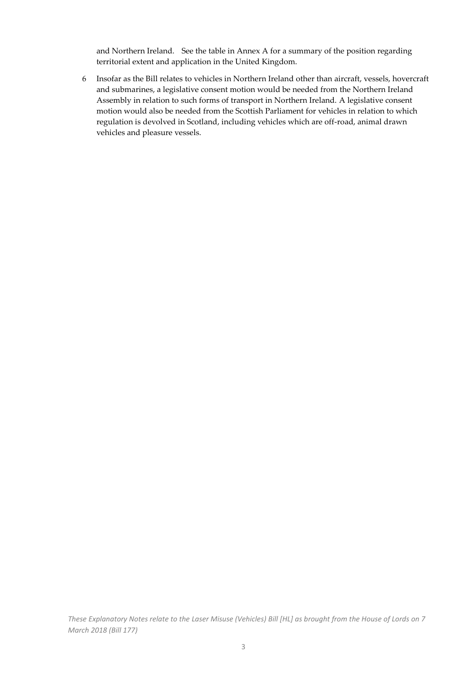and Northern Ireland. See the table in Annex A for a summary of the position regarding territorial extent and application in the United Kingdom.

6 Insofar as the Bill relates to vehicles in Northern Ireland other than aircraft, vessels, hovercraft and submarines, a legislative consent motion would be needed from the Northern Ireland Assembly in relation to such forms of transport in Northern Ireland. A legislative consent motion would also be needed from the Scottish Parliament for vehicles in relation to which regulation is devolved in Scotland, including vehicles which are off-road, animal drawn vehicles and pleasure vessels.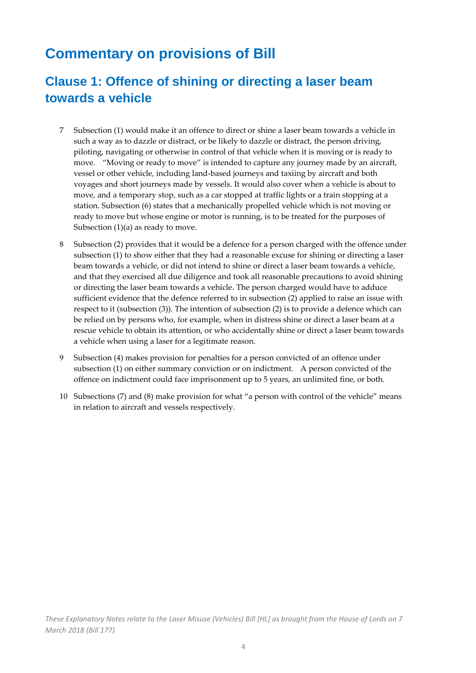## <span id="page-4-0"></span>**Commentary on provisions of Bill**

## <span id="page-4-1"></span>**Clause 1: Offence of shining or directing a laser beam towards a vehicle**

- 7 Subsection (1) would make it an offence to direct or shine a laser beam towards a vehicle in such a way as to dazzle or distract, or be likely to dazzle or distract, the person driving, piloting, navigating or otherwise in control of that vehicle when it is moving or is ready to move. "Moving or ready to move" is intended to capture any journey made by an aircraft, vessel or other vehicle, including land-based journeys and taxiing by aircraft and both voyages and short journeys made by vessels. It would also cover when a vehicle is about to move, and a temporary stop, such as a car stopped at traffic lights or a train stopping at a station. Subsection (6) states that a mechanically propelled vehicle which is not moving or ready to move but whose engine or motor is running, is to be treated for the purposes of Subsection  $(1)(a)$  as ready to move.
- 8 Subsection (2) provides that it would be a defence for a person charged with the offence under subsection (1) to show either that they had a reasonable excuse for shining or directing a laser beam towards a vehicle, or did not intend to shine or direct a laser beam towards a vehicle, and that they exercised all due diligence and took all reasonable precautions to avoid shining or directing the laser beam towards a vehicle. The person charged would have to adduce sufficient evidence that the defence referred to in subsection (2) applied to raise an issue with respect to it (subsection (3)). The intention of subsection (2) is to provide a defence which can be relied on by persons who, for example, when in distress shine or direct a laser beam at a rescue vehicle to obtain its attention, or who accidentally shine or direct a laser beam towards a vehicle when using a laser for a legitimate reason.
- 9 Subsection (4) makes provision for penalties for a person convicted of an offence under subsection (1) on either summary conviction or on indictment. A person convicted of the offence on indictment could face imprisonment up to 5 years, an unlimited fine, or both.
- 10 Subsections (7) and (8) make provision for what "a person with control of the vehicle" means in relation to aircraft and vessels respectively.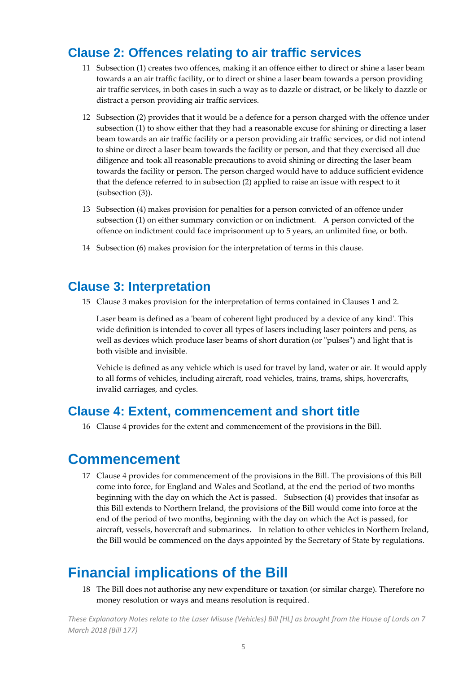#### <span id="page-5-0"></span>**Clause 2: Offences relating to air traffic services**

- 11 Subsection (1) creates two offences, making it an offence either to direct or shine a laser beam towards a an air traffic facility, or to direct or shine a laser beam towards a person providing air traffic services, in both cases in such a way as to dazzle or distract, or be likely to dazzle or distract a person providing air traffic services.
- 12 Subsection (2) provides that it would be a defence for a person charged with the offence under subsection (1) to show either that they had a reasonable excuse for shining or directing a laser beam towards an air traffic facility or a person providing air traffic services, or did not intend to shine or direct a laser beam towards the facility or person, and that they exercised all due diligence and took all reasonable precautions to avoid shining or directing the laser beam towards the facility or person. The person charged would have to adduce sufficient evidence that the defence referred to in subsection (2) applied to raise an issue with respect to it (subsection (3)).
- 13 Subsection (4) makes provision for penalties for a person convicted of an offence under subsection (1) on either summary conviction or on indictment. A person convicted of the offence on indictment could face imprisonment up to 5 years, an unlimited fine, or both.
- 14 Subsection (6) makes provision for the interpretation of terms in this clause.

#### <span id="page-5-1"></span>**Clause 3: Interpretation**

15 Clause 3 makes provision for the interpretation of terms contained in Clauses 1 and 2.

Laser beam is defined as a 'beam of coherent light produced by a device of any kind'. This wide definition is intended to cover all types of lasers including laser pointers and pens, as well as devices which produce laser beams of short duration (or "pulses") and light that is both visible and invisible.

Vehicle is defined as any vehicle which is used for travel by land, water or air. It would apply to all forms of vehicles, including aircraft, road vehicles, trains, trams, ships, hovercrafts, invalid carriages, and cycles.

#### <span id="page-5-2"></span>**Clause 4: Extent, commencement and short title**

16 Clause 4 provides for the extent and commencement of the provisions in the Bill.

#### <span id="page-5-3"></span>**Commencement**

17 Clause 4 provides for commencement of the provisions in the Bill. The provisions of this Bill come into force, for England and Wales and Scotland, at the end the period of two months beginning with the day on which the Act is passed. Subsection (4) provides that insofar as this Bill extends to Northern Ireland, the provisions of the Bill would come into force at the end of the period of two months, beginning with the day on which the Act is passed, for aircraft, vessels, hovercraft and submarines. In relation to other vehicles in Northern Ireland, the Bill would be commenced on the days appointed by the Secretary of State by regulations.

## <span id="page-5-4"></span>**Financial implications of the Bill**

18 The Bill does not authorise any new expenditure or taxation (or similar charge). Therefore no money resolution or ways and means resolution is required.

*These Explanatory Notes relate to the Laser Misuse (Vehicles) Bill [HL] as brought from the House of Lords on 7 March 2018 (Bill 177)*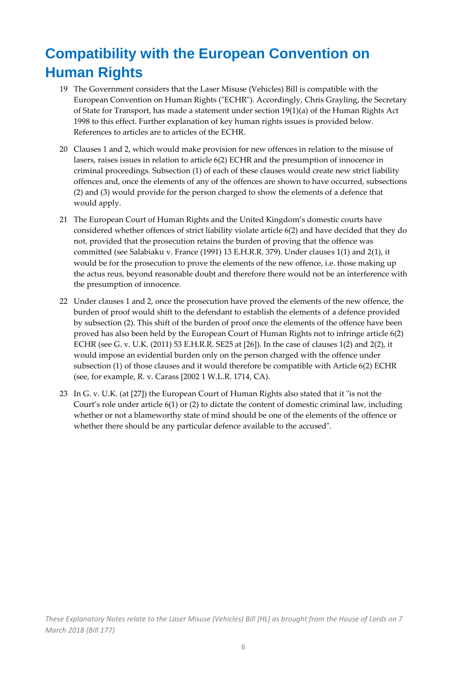## <span id="page-6-0"></span>**Compatibility with the European Convention on Human Rights**

- 19 The Government considers that the Laser Misuse (Vehicles) Bill is compatible with the European Convention on Human Rights ("ECHR"). Accordingly, Chris Grayling, the Secretary of State for Transport, has made a statement under section 19(1)(a) of the Human Rights Act 1998 to this effect. Further explanation of key human rights issues is provided below. References to articles are to articles of the ECHR.
- 20 Clauses 1 and 2, which would make provision for new offences in relation to the misuse of lasers, raises issues in relation to article 6(2) ECHR and the presumption of innocence in criminal proceedings. Subsection (1) of each of these clauses would create new strict liability offences and, once the elements of any of the offences are shown to have occurred, subsections (2) and (3) would provide for the person charged to show the elements of a defence that would apply.
- 21 The European Court of Human Rights and the United Kingdom's domestic courts have considered whether offences of strict liability violate article 6(2) and have decided that they do not, provided that the prosecution retains the burden of proving that the offence was committed (see Salabiaku v. France (1991) 13 E.H.R.R. 379). Under clauses 1(1) and 2(1), it would be for the prosecution to prove the elements of the new offence, i.e. those making up the actus reus, beyond reasonable doubt and therefore there would not be an interference with the presumption of innocence.
- 22 Under clauses 1 and 2, once the prosecution have proved the elements of the new offence, the burden of proof would shift to the defendant to establish the elements of a defence provided by subsection (2). This shift of the burden of proof once the elements of the offence have been proved has also been held by the European Court of Human Rights not to infringe article 6(2) ECHR (see G. v. U.K. (2011) 53 E.H.R.R. SE25 at [26]). In the case of clauses 1(2) and 2(2), it would impose an evidential burden only on the person charged with the offence under subsection (1) of those clauses and it would therefore be compatible with Article 6(2) ECHR (see, for example, R. v. Carass [2002 1 W.L.R. 1714, CA).
- 23 In G. v. U.K. (at [27]) the European Court of Human Rights also stated that it "is not the Court's role under article 6(1) or (2) to dictate the content of domestic criminal law, including whether or not a blameworthy state of mind should be one of the elements of the offence or whether there should be any particular defence available to the accused".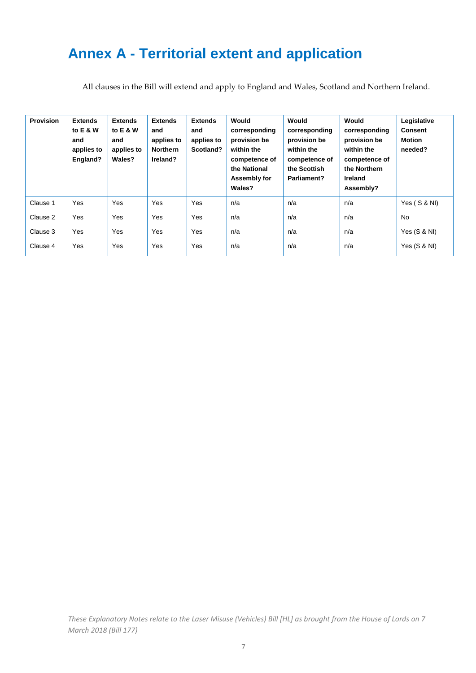## <span id="page-7-0"></span>**Annex A - Territorial extent and application**

All clauses in the Bill will extend and apply to England and Wales, Scotland and Northern Ireland.

| <b>Provision</b> | <b>Extends</b><br>to E & W<br>and<br>applies to<br>England? | <b>Extends</b><br>to E & W<br>and<br>applies to<br>Wales? | <b>Extends</b><br>and<br>applies to<br><b>Northern</b><br>Ireland? | <b>Extends</b><br>and<br>applies to<br>Scotland? | Would<br>corresponding<br>provision be<br>within the<br>competence of<br>the National<br>Assembly for<br>Wales? | Would<br>corresponding<br>provision be<br>within the<br>competence of<br>the Scottish<br>Parliament? | Would<br>corresponding<br>provision be<br>within the<br>competence of<br>the Northern<br>Ireland<br>Assembly? | Legislative<br><b>Consent</b><br><b>Motion</b><br>needed? |
|------------------|-------------------------------------------------------------|-----------------------------------------------------------|--------------------------------------------------------------------|--------------------------------------------------|-----------------------------------------------------------------------------------------------------------------|------------------------------------------------------------------------------------------------------|---------------------------------------------------------------------------------------------------------------|-----------------------------------------------------------|
| Clause 1         | Yes                                                         | Yes                                                       | Yes                                                                | Yes                                              | n/a                                                                                                             | n/a                                                                                                  | n/a                                                                                                           | Yes (S & NI)                                              |
| Clause 2         | Yes                                                         | Yes                                                       | Yes                                                                | Yes                                              | n/a                                                                                                             | n/a                                                                                                  | n/a                                                                                                           | No                                                        |
| Clause 3         | Yes                                                         | Yes                                                       | Yes                                                                | Yes                                              | n/a                                                                                                             | n/a                                                                                                  | n/a                                                                                                           | Yes $(S & NI)$                                            |
| Clause 4         | Yes                                                         | Yes                                                       | Yes                                                                | Yes                                              | n/a                                                                                                             | n/a                                                                                                  | n/a                                                                                                           | Yes $(S & NI)$                                            |

*These Explanatory Notes relate to the Laser Misuse (Vehicles) Bill [HL] as brought from the House of Lords on 7 March 2018 (Bill 177)*